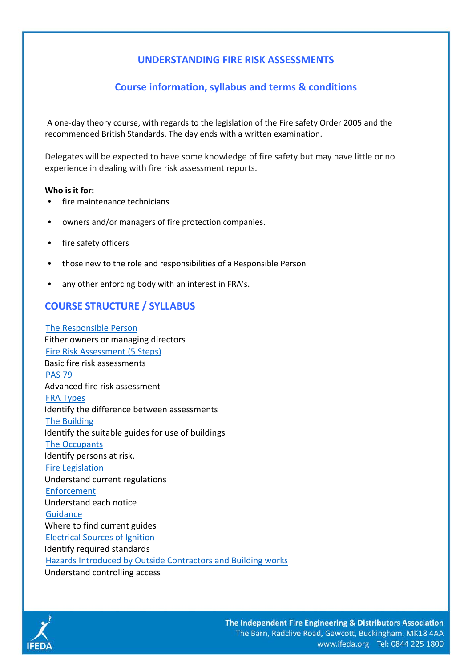# **UNDERSTANDING FIRE RISK ASSESSMENTS**

## **Course information, syllabus and terms & conditions**

A one-day theory course, with regards to the legislation of the Fire safety Order 2005 and the recommended British Standards. The day ends with a written examination.

Delegates will be expected to have some knowledge of fire safety but may have little or no experience in dealing with fire risk assessment reports.

### **Who is it for:**

- fire maintenance technicians
- owners and/or managers of fire protection companies.
- fire safety officers
- those new to the role and responsibilities of a Responsible Person
- any other enforcing body with an interest in FRA's.

### **COURSE STRUCTURE / SYLLABUS**

 The Responsible Person Either owners or managing directors Fire Risk Assessment (5 Steps) Basic fire risk assessments PAS 79 Advanced fire risk assessment FRA Types Identify the difference between assessments The Building Identify the suitable guides for use of buildings The Occupants Identify persons at risk. Fire Legislation Understand current regulations Enforcement Understand each notice **Guidance**  Where to find current guides Electrical Sources of Ignition Identify required standards Hazards Introduced by Outside Contractors and Building works Understand controlling access

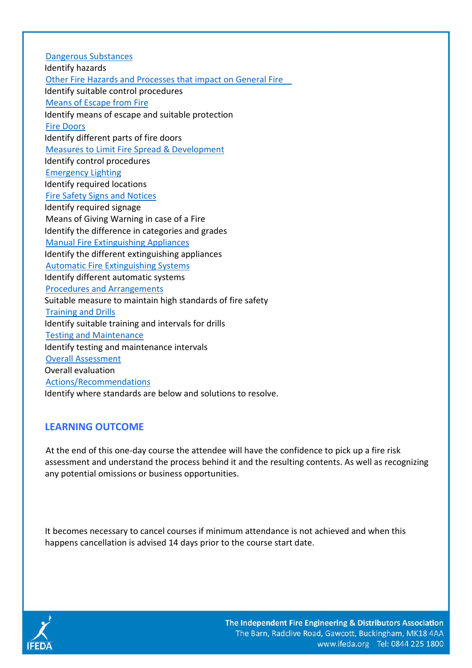Dangerous Substances Identify hazards Other Fire Hazards and Processes that impact on General Fire Identify suitable control procedures Means of Escape from Fire Identify means of escape and suitable protection Fire Doors Identify different parts of fire doors Measures to Limit Fire Spread & Development Identify control procedures Emergency Lighting Identify required locations Fire Safety Signs and Notices Identify required signage Means of Giving Warning in case of a Fire Identify the difference in categories and grades Manual Fire Extinguishing Appliances Identify the different extinguishing appliances Automatic Fire Extinguishing Systems Identify different automatic systems Procedures and Arrangements Suitable measure to maintain high standards of fire safety Training and Drills Identify suitable training and intervals for drills Testing and Maintenance Identify testing and maintenance intervals Overall Assessment Overall evaluation Actions/Recommendations Identify where standards are below and solutions to resolve.

# **LEARNING OUTCOME**

At the end of this one-day course the attendee will have the confidence to pick up a fire risk assessment and understand the process behind it and the resulting contents. As well as recognizing any potential omissions or business opportunities.

It becomes necessary to cancel courses if minimum attendance is not achieved and when this happens cancellation is advised 14 days prior to the course start date.